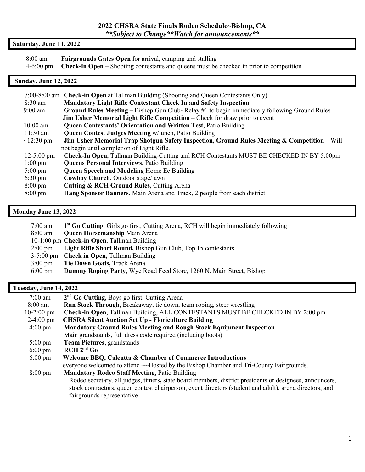#### **2022 CHSRA State Finals Rodeo Schedule~Bishop, CA** *\*\*Subject to Change\*\*Watch for announcements\*\**

## **Saturday, June 11, 2022**

| 8:00 am | <b>Fairgrounds Gates Open</b> for arrival, camping and stalling                                             |
|---------|-------------------------------------------------------------------------------------------------------------|
|         | $4-6:00 \text{ pm}$ Check-in Open – Shooting contestants and queens must be checked in prior to competition |

## **Sunday, June 12, 2022**

|                                                                                                                 | 7:00-8:00 am Check-in Open at Tallman Building (Shooting and Queen Contestants Only)         |  |  |  |  |  |
|-----------------------------------------------------------------------------------------------------------------|----------------------------------------------------------------------------------------------|--|--|--|--|--|
| $8:30 \text{ am}$                                                                                               | <b>Mandatory Light Rifle Contestant Check In and Safety Inspection</b>                       |  |  |  |  |  |
| $9:00 \text{ am}$                                                                                               | Ground Rules Meeting – Bishop Gun Club- Relay #1 to begin immediately following Ground Rules |  |  |  |  |  |
| Jim Usher Memorial Light Rifle Competition – Check for draw prior to event                                      |                                                                                              |  |  |  |  |  |
| <b>Queen Contestants' Orientation and Written Test, Patio Building</b><br>$10:00 \text{ am}$                    |                                                                                              |  |  |  |  |  |
| $11:30 \text{ am}$<br><b>Queen Contest Judges Meeting w/lunch, Patio Building</b>                               |                                                                                              |  |  |  |  |  |
| Jim Usher Memorial Trap Shotgun Safety Inspection, Ground Rules Meeting & Competition - Will<br>$\sim$ 12:30 pm |                                                                                              |  |  |  |  |  |
| not begin until completion of Light Rifle.                                                                      |                                                                                              |  |  |  |  |  |
| $12 - 5:00 \text{ pm}$                                                                                          | Check-In Open, Tallman Building-Cutting and RCH Contestants MUST BE CHECKED IN BY 5:00pm     |  |  |  |  |  |
| $1:00 \text{ pm}$                                                                                               | <b>Queens Personal Interviews</b> , Patio Building                                           |  |  |  |  |  |
| $5:00 \text{ pm}$                                                                                               | <b>Queen Speech and Modeling Home Ec Building</b>                                            |  |  |  |  |  |
| $6:30 \text{ pm}$                                                                                               | Cowboy Church, Outdoor stage/lawn                                                            |  |  |  |  |  |
| $8:00 \text{ pm}$                                                                                               | <b>Cutting &amp; RCH Ground Rules, Cutting Arena</b>                                         |  |  |  |  |  |
| $8:00 \text{ pm}$                                                                                               | Hang Sponsor Banners, Main Arena and Track, 2 people from each district                      |  |  |  |  |  |
|                                                                                                                 |                                                                                              |  |  |  |  |  |

## **Monday June 13, 2022**

| 7:00 am           | 1 <sup>st</sup> Go Cutting, Girls go first, Cutting Arena, RCH will begin immediately following |
|-------------------|-------------------------------------------------------------------------------------------------|
| $8:00 \text{ am}$ | <b>Queen Horsemanship Main Arena</b>                                                            |
|                   | 10-1:00 pm Check-in Open, Tallman Building                                                      |
| $2:00 \text{ pm}$ | Light Rifle Short Round, Bishop Gun Club, Top 15 contestants                                    |
|                   | 3-5:00 pm Check in Open, Tallman Building                                                       |
| $3:00 \text{ pm}$ | Tie Down Goats, Track Arena                                                                     |
| $6:00 \text{ pm}$ | <b>Dummy Roping Party, Wye Road Feed Store, 1260 N. Main Street, Bishop</b>                     |
|                   |                                                                                                 |

# **Tuesday, June 14, 2022**

| $7:00$ am                                                                                              | 2 <sup>nd</sup> Go Cutting, Boys go first, Cutting Arena                                                |  |  |  |  |  |
|--------------------------------------------------------------------------------------------------------|---------------------------------------------------------------------------------------------------------|--|--|--|--|--|
| 8:00 am                                                                                                | Run Stock Through, Breakaway, tie down, team roping, steer wrestling                                    |  |  |  |  |  |
| Check-in Open, Tallman Building, ALL CONTESTANTS MUST BE CHECKED IN BY 2:00 pm<br>$10-2:00 \text{ pm}$ |                                                                                                         |  |  |  |  |  |
| <b>CHSRA Silent Auction Set Up - Floriculture Building</b><br>$2-4:00 \text{ pm}$                      |                                                                                                         |  |  |  |  |  |
| <b>Mandatory Ground Rules Meeting and Rough Stock Equipment Inspection</b><br>$4:00 \text{ pm}$        |                                                                                                         |  |  |  |  |  |
|                                                                                                        | Main grandstands, full dress code required (including boots)                                            |  |  |  |  |  |
| <b>Team Pictures</b> , grandstands<br>$5:00 \text{ pm}$                                                |                                                                                                         |  |  |  |  |  |
| $6:00 \text{ pm}$                                                                                      | $RCH 2nd$ Go                                                                                            |  |  |  |  |  |
| $6:00 \text{ pm}$                                                                                      | Welcome BBQ, Calcutta & Chamber of Commerce Introductions                                               |  |  |  |  |  |
|                                                                                                        | everyone welcomed to attend ~~ Hosted by the Bishop Chamber and Tri-County Fairgrounds.                 |  |  |  |  |  |
| <b>Mandatory Rodeo Staff Meeting, Patio Building</b><br>$8:00 \text{ pm}$                              |                                                                                                         |  |  |  |  |  |
|                                                                                                        | Rodeo secretary, all judges, timers, state board members, district presidents or designees, announcers, |  |  |  |  |  |
|                                                                                                        | stock contractors, queen contest chairperson, event directors (student and adult), arena directors, and |  |  |  |  |  |
|                                                                                                        | fairgrounds representative                                                                              |  |  |  |  |  |